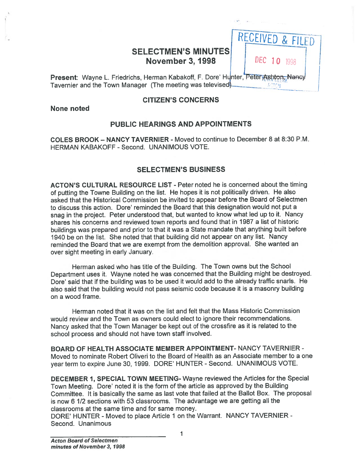# SELECTMEN'S MINUTES<br>November 3, 1998

Present: Wayne L. Friedrichs, Herman Kabakoff, F. Dore' Hunter, Peter Ashton, Nancy Tavernier and the Town Manager (The meeting was televised).

## CITIZEN'S CONCERNS

None noted

# PUBLIC HEARINGS AND APPOINTMENTS

COLES BROOK — NANCY TAVERNIER - Moved to continue to December 8 at 8:30 P.M. HERMAN KABAKOFF - Second. UNANIMOUS VOTE.

## SELECTMEN'S BUSINESS

ACTON'S CULTURAL RESOURCE LIST - Peter noted he is concerned about the timing of putting the Towne Building on the list. He hopes it is not politically driven. He also asked that the Historical Commission be invited to appear before the Board of Selectmen to discuss this action. Dore' reminded the Board that this designation would not pu<sup>t</sup> <sup>a</sup> snag in the project. Peter understood that, but wanted to know what led up to it. Nancy shares his concerns and reviewed town reports and found that in 1987 <sup>a</sup> list of historic buildings was prepare<sup>d</sup> and prior to that it was <sup>a</sup> State mandate that anything built before 1940 be on the list. She noted that that building did not appear on any list. Nancy reminded the Board that we are exemp<sup>t</sup> from the demolition approval. She wanted an over sight meeting in early January.

Herman asked who has title of the Building. The Town owns but the School Department uses it. Wayne noted he was concerned that the Building might be destroyed. Dore' said that if the building was to be used it would add to the already traffic snarls. He also said that the building would not pass seismic code because it is <sup>a</sup> masonry building on <sup>a</sup> wood frame.

Herman noted that it was on the list and felt that the Mass Historic Commission would review and the Town as owners could elect to ignore their recommendations. Nancy asked that the Town Manager be kept out of the crossfire as it is related to the school process and should not have town staff involved.

BOARD OF HEALTH ASSOCIATE MEMBER APPOINTMENT- NANCY TAVERNIER - Moved to nominate Robert Oliveri to the Board of Health as an Associate member to <sup>a</sup> one year term to expire June 30, 1999. DORE' HUNTER - Second. UNANIMOUS VOTE.

DECEMBER 1, SPECIAL TOWN MEETING- Wayne reviewed the Articles for the Special Town Meeting. Dore' noted it is the form of the article as approve<sup>d</sup> by the Building Committee. It is basically the same as last vote that failed at the Ballot Box. The proposa<sup>l</sup> is now 6 1/2 sections with 53 classrooms. The advantage we are getting all the classrooms at the same time and for same money.

DORE' HUNTER - Moved to place Article 1 on the Warrant. NANCY TAVERNIER -Second. Unanimous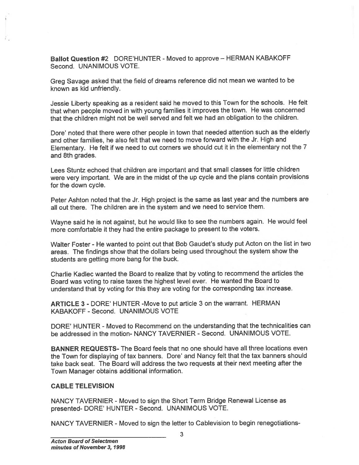Ballot Question #2 DORE'HUNTER - Moved to approve — HERMAN KABAKOFF Second. UNANIMOUS VOTE.

Greg Savage asked that the field of dreams reference did not mean we wanted to be known as kid unfriendly.

Jessie Liberty speaking as <sup>a</sup> resident said he moved to this Town for the schools. He felt that when people moved in with young families it improves the town. He was concerned that the children might not be well served and felt we had an obligation to the children.

Dore' noted that there were other people in town that needed attention such as the elderly and other families, he also felt that we need to move forward with the Jr. High and Elementary. He felt if we need to cut corners we should cut it in the elementary not the <sup>7</sup> and 8th grades.

Lees Stuntz echoed that children are important and that small classes for little children were very important. We are in the midst of the up cycle and the <sup>p</sup>lans contain provisions for the down cycle.

Peter Ashton noted that the Jr. High project is the same as last year and the numbers are all out there. The children are in the system and we need to service them.

Wayne said he is not against, but he would like to see the numbers again. He would feel more comfortable it they had the entire package to presen<sup>t</sup> to the voters.

Walter Foster - He wanted to point out that Bob Gaudet's study pu<sup>t</sup> Acton on the list in two areas. The findings show that the dollars being used throughout the system show the students are getting more bang for the buck.

Charlie Kadlec wanted the Board to realize that by voting to recommend the articles the Board was voting to raise taxes the highest level ever. He wanted the Board to understand that by voting for this they are voting for the corresponding tax increase.

ARTICLE 3 - DORE' HUNTER -Move to pu<sup>t</sup> article 3 on the warrant. HERMAN KABAKOFF - Second. UNANIMOUS VOTE

DORE' HUNTER - Moved to Recommend on the understanding that the technicalities can be addressed in the motion- NANCY TAVERNIER - Second. UNANIMOUS VOTE.

BANNER REQUESTS- The Board feels that no one should have all three locations even the Town for displaying of tax banners. Dore' and Nancy felt that the tax banners should take back seat. The Board will address the two requests at their next meeting after the Town Manager obtains additional information. Ballot Question #2 DORE HUNTER - Moved to approve – HERMAN KABAKOFF<br>Second. UNANIMOUS VOTE.<br>Creg Savage asked that the field of dreams reference did not mean we wanted to be<br>to Karo mask fiel unifierady, as a resident said

### CABLE TELEVISION

NANCY TAVERNIER - Moved to sign the Short Term Bridge Renewal License as presented- DORE' HUNTER - Second. UNANIMOUS VOTE.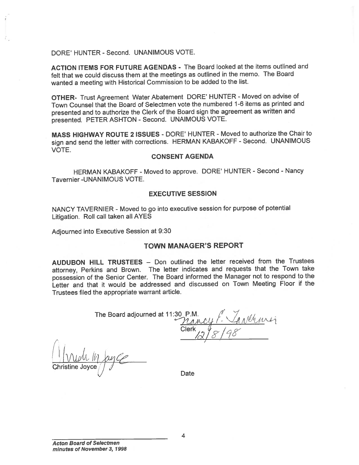DORE' HUNTER -Second. UNANIMOUS VOTE.

ACTION ITEMS FOR FUTURE AGENDAS - The Board looked at the items outlined and felt that we could discuss them at the meetings as outlined in the memo. The Board wanted <sup>a</sup> meeting with Historical Commission to be added to the list.

OTHER- Trust Agreement Water Abatement DORE' HUNTER - Moved on advise of Town Counsel that the Board of Selectmen vote the numbered 1-6 items as printed and presented and to authorize the Clerk of the Board sign the agreemen<sup>t</sup> as written and presented. PETER ASHTON - Second. UNAIMOUS VOTE.

MASS HIGHWAY ROUTE 2 ISSUES - DORE' HUNTER - Moved to authorize the Chair to sign and send the letter with corrections. HERMAN KABAKOFF - Second. UNANIMOUS VOTE.

### CONSENT AGENDA

HERMAN KABAKOFF - Moved to approve. DORE' HUNTER - Second - Nancy Tavernier -UNANIMOUS VOTE.

#### EXECUTIVE SESSION

NANCY TAVERNIER - Moved to go into executive session for purpose of potential Litigation. Roll call taken all AYES

Adjourned into Executive Session at 9:30

## TOWN MANAGER'S REPORT

AUDUBON HILL TRUSTEES — Don outlined the letter received from the Trustees attorney, Perkins and Brown. The letter indicates and requests that the Town take possession of the Senior Center. The Board informed the Manager not to respon<sup>d</sup> to the Letter and that it would be addressed and discussed on Town Meeting Floor if the Trustees filed the appropriate warrant article.

| The Board adjourned at 11:30 P.M.<br>Mancy f. Anthrop |
|-------------------------------------------------------|
|                                                       |
| Clerk $2\frac{1}{8}$ /98                              |
|                                                       |

:1 I VUM In Kyce Christine Joyce $\left/\right/\left/\right$ 

Date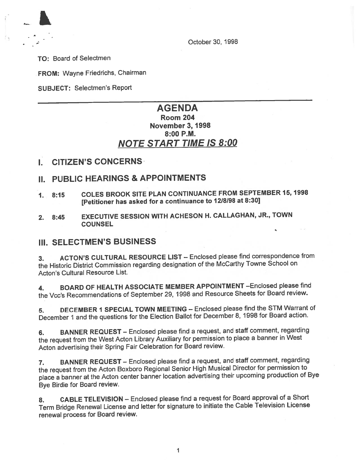

October 30, 1998

TO: Board of Selectmen

FROM: Wayne Friedrichs, Chairman

SUBJECT: Selectmen's Report

# AGENDA Room 204 November 3, 1998 8:00 P.M. NOTE START TIME IS 8:00

I. CITIZEN'S CONCERNS

# II. PUBLIC HEARINGS & APPOINTMENTS

- 1. 8:15 COLES BROOK SITE PLAN CONTINUANCE FROM SEPTEMBER 15, <sup>1998</sup> [Petitioner has asked for <sup>a</sup> continuance to <sup>1218198</sup> at 8:30]
- 2. 8:45 EXECUTIVE SESSION WITH ACHESON H. CALLAGHAN, JR., TOWN **COUNSEL**

# III. SELECTMEN'S BUSINESS

3. ACTON'S CULTURAL RESOURCE LiST — Enclosed <sup>p</sup>lease find correspondence from the Historic District Commission regarding designation of the McCarthy Towne School on Acton's Cultural Resource List.

4. BOARD OF HEALTH ASSOCIATE MEMBER APPOINTMENT - Enclosed please find the Vcc's Recommendations of September 29, <sup>1998</sup> and Resource Sheets for Board review.

5. DECEMBER <sup>1</sup> SPECIAL TOWN MEETING — Enclosed <sup>p</sup>lease find the STM Warrant of December <sup>1</sup> and the questions for the Election Ballot for December 8, <sup>1998</sup> for Board action.

6. BANNER REQUEST — Enclosed <sup>p</sup>lease find <sup>a</sup> request, and staff comment, regarding the reques<sup>t</sup> from the West Acton Library Auxiliary for permission to <sup>p</sup>lace <sup>a</sup> banner in West Acton advertising their Spring Fair Celebration for Board review.

7. BANNER REQUEST — Enclosed <sup>p</sup>lease find <sup>a</sup> request, and staff comment, regarding the reques<sup>t</sup> from the Acton Boxboro Regional Senior High Musical Director for permission to <sup>p</sup>lace <sup>a</sup> banner at the Acton center banner location advertising their upcoming production of Bye Bye Birdie for Board review.

8. CABLE TELEVISION — Enclosed <sup>p</sup>lease find <sup>a</sup> reques<sup>t</sup> for Board approva<sup>l</sup> of <sup>a</sup> Short Term Bridge Renewal License and letter for signature to initiate the Cable Television License renewal process for Board review.